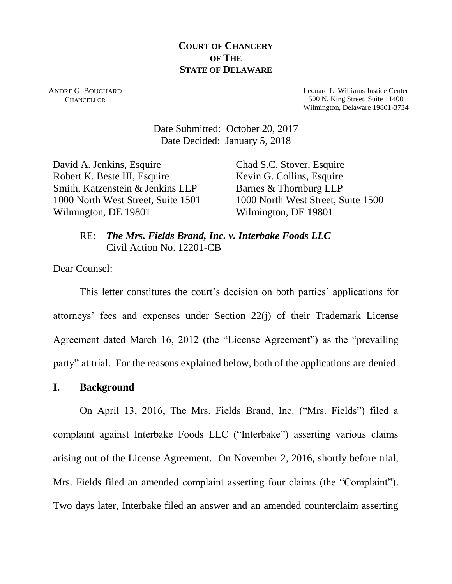# **COURT OF CHANCERY OF THE STATE OF DELAWARE**

ANDRE G. BOUCHARD CHANCELLOR

Leonard L. Williams Justice Center 500 N. King Street, Suite 11400 Wilmington, Delaware 19801-3734

Date Submitted: October 20, 2017 Date Decided: January 5, 2018

David A. Jenkins, Esquire Robert K. Beste III, Esquire Smith, Katzenstein & Jenkins LLP 1000 North West Street, Suite 1501 Wilmington, DE 19801

Chad S.C. Stover, Esquire Kevin G. Collins, Esquire Barnes & Thornburg LLP 1000 North West Street, Suite 1500 Wilmington, DE 19801

RE: *The Mrs. Fields Brand, Inc. v. Interbake Foods LLC* Civil Action No. 12201-CB

Dear Counsel:

This letter constitutes the court's decision on both parties' applications for attorneys' fees and expenses under Section 22(j) of their Trademark License Agreement dated March 16, 2012 (the "License Agreement") as the "prevailing party" at trial. For the reasons explained below, both of the applications are denied.

## **I. Background**

On April 13, 2016, The Mrs. Fields Brand, Inc. ("Mrs. Fields") filed a complaint against Interbake Foods LLC ("Interbake") asserting various claims arising out of the License Agreement. On November 2, 2016, shortly before trial, Mrs. Fields filed an amended complaint asserting four claims (the "Complaint"). Two days later, Interbake filed an answer and an amended counterclaim asserting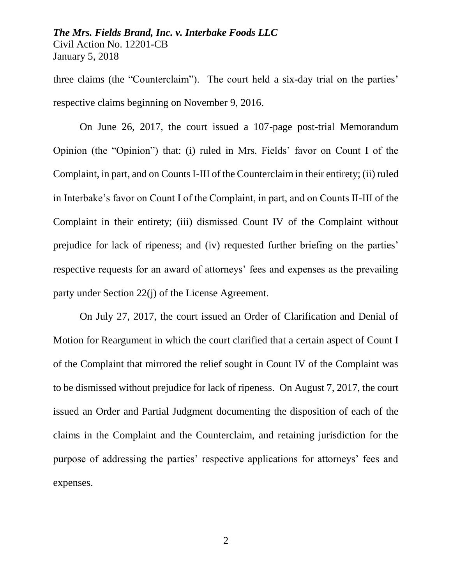three claims (the "Counterclaim"). The court held a six-day trial on the parties' respective claims beginning on November 9, 2016.

On June 26, 2017, the court issued a 107-page post-trial Memorandum Opinion (the "Opinion") that: (i) ruled in Mrs. Fields' favor on Count I of the Complaint, in part, and on Counts I-III of the Counterclaim in their entirety; (ii) ruled in Interbake's favor on Count I of the Complaint, in part, and on Counts II-III of the Complaint in their entirety; (iii) dismissed Count IV of the Complaint without prejudice for lack of ripeness; and (iv) requested further briefing on the parties' respective requests for an award of attorneys' fees and expenses as the prevailing party under Section 22(j) of the License Agreement.

On July 27, 2017, the court issued an Order of Clarification and Denial of Motion for Reargument in which the court clarified that a certain aspect of Count I of the Complaint that mirrored the relief sought in Count IV of the Complaint was to be dismissed without prejudice for lack of ripeness. On August 7, 2017, the court issued an Order and Partial Judgment documenting the disposition of each of the claims in the Complaint and the Counterclaim, and retaining jurisdiction for the purpose of addressing the parties' respective applications for attorneys' fees and expenses.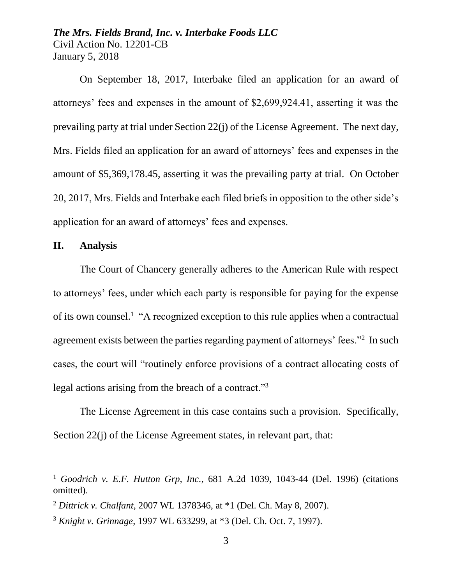On September 18, 2017, Interbake filed an application for an award of attorneys' fees and expenses in the amount of \$2,699,924.41, asserting it was the prevailing party at trial under Section 22(j) of the License Agreement. The next day, Mrs. Fields filed an application for an award of attorneys' fees and expenses in the amount of \$5,369,178.45, asserting it was the prevailing party at trial. On October 20, 2017, Mrs. Fields and Interbake each filed briefs in opposition to the other side's application for an award of attorneys' fees and expenses.

## **II. Analysis**

The Court of Chancery generally adheres to the American Rule with respect to attorneys' fees, under which each party is responsible for paying for the expense of its own counsel.<sup>1</sup> "A recognized exception to this rule applies when a contractual agreement exists between the parties regarding payment of attorneys' fees."<sup>2</sup> In such cases, the court will "routinely enforce provisions of a contract allocating costs of legal actions arising from the breach of a contract."<sup>3</sup>

The License Agreement in this case contains such a provision. Specifically, Section 22(j) of the License Agreement states, in relevant part, that:

<sup>1</sup> *Goodrich v. E.F. Hutton Grp, Inc.*, 681 A.2d 1039, 1043-44 (Del. 1996) (citations omitted).

<sup>2</sup> *Dittrick v. Chalfant*, 2007 WL 1378346, at \*1 (Del. Ch. May 8, 2007).

<sup>3</sup> *Knight v. Grinnage*, 1997 WL 633299, at \*3 (Del. Ch. Oct. 7, 1997).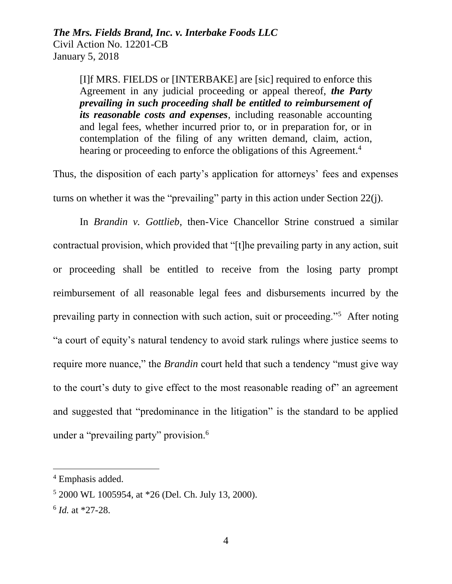[I]f MRS. FIELDS or [INTERBAKE] are [sic] required to enforce this Agreement in any judicial proceeding or appeal thereof, *the Party prevailing in such proceeding shall be entitled to reimbursement of its reasonable costs and expenses*, including reasonable accounting and legal fees, whether incurred prior to, or in preparation for, or in contemplation of the filing of any written demand, claim, action, hearing or proceeding to enforce the obligations of this Agreement.<sup>4</sup>

Thus, the disposition of each party's application for attorneys' fees and expenses turns on whether it was the "prevailing" party in this action under Section 22(j).

In *Brandin v. Gottlieb*, then-Vice Chancellor Strine construed a similar contractual provision, which provided that "[t]he prevailing party in any action, suit or proceeding shall be entitled to receive from the losing party prompt reimbursement of all reasonable legal fees and disbursements incurred by the prevailing party in connection with such action, suit or proceeding."<sup>5</sup> After noting "a court of equity's natural tendency to avoid stark rulings where justice seems to require more nuance," the *Brandin* court held that such a tendency "must give way to the court's duty to give effect to the most reasonable reading of" an agreement and suggested that "predominance in the litigation" is the standard to be applied under a "prevailing party" provision.<sup>6</sup>

<sup>4</sup> Emphasis added.

<sup>5</sup> 2000 WL 1005954, at \*26 (Del. Ch. July 13, 2000).

<sup>6</sup> *Id.* at \*27-28.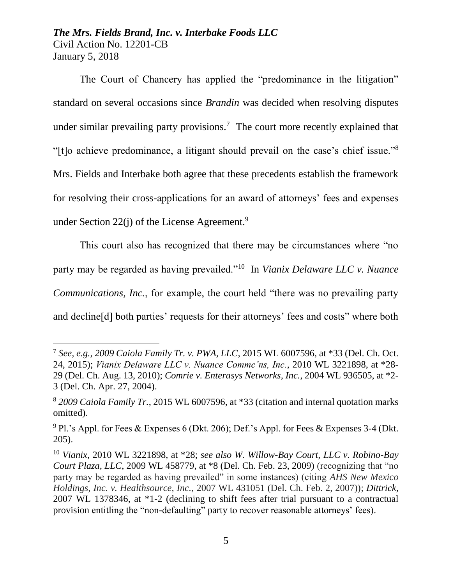$\overline{a}$ 

The Court of Chancery has applied the "predominance in the litigation" standard on several occasions since *Brandin* was decided when resolving disputes under similar prevailing party provisions.<sup>7</sup> The court more recently explained that "[t]o achieve predominance, a litigant should prevail on the case's chief issue."<sup>8</sup> Mrs. Fields and Interbake both agree that these precedents establish the framework for resolving their cross-applications for an award of attorneys' fees and expenses under Section 22(j) of the License Agreement.<sup>9</sup>

This court also has recognized that there may be circumstances where "no party may be regarded as having prevailed."<sup>10</sup> In *Vianix Delaware LLC v. Nuance Communications, Inc.*, for example, the court held "there was no prevailing party and decline[d] both parties' requests for their attorneys' fees and costs" where both

<sup>7</sup> *See, e.g.*, *2009 Caiola Family Tr. v. PWA, LLC*, 2015 WL 6007596, at \*33 (Del. Ch. Oct. 24, 2015); *Vianix Delaware LLC v. Nuance Commc'ns, Inc.*, 2010 WL 3221898, at \*28- 29 (Del. Ch. Aug. 13, 2010); *Comrie v. Enterasys Networks, Inc.*, 2004 WL 936505, at \*2- 3 (Del. Ch. Apr. 27, 2004).

<sup>8</sup> *2009 Caiola Family Tr.*, 2015 WL 6007596, at \*33 (citation and internal quotation marks omitted).

 $9$  Pl.'s Appl. for Fees & Expenses 6 (Dkt. 206); Def.'s Appl. for Fees & Expenses 3-4 (Dkt. 205).

<sup>10</sup> *Vianix*, 2010 WL 3221898, at \*28; *see also W. Willow-Bay Court, LLC v. Robino-Bay Court Plaza, LLC*, 2009 WL 458779, at \*8 (Del. Ch. Feb. 23, 2009) (recognizing that "no party may be regarded as having prevailed" in some instances) (citing *AHS New Mexico Holdings, Inc. v. Healthsource, Inc.*, 2007 WL 431051 (Del. Ch. Feb. 2, 2007)); *Dittrick*, 2007 WL 1378346, at \*1-2 (declining to shift fees after trial pursuant to a contractual provision entitling the "non-defaulting" party to recover reasonable attorneys' fees).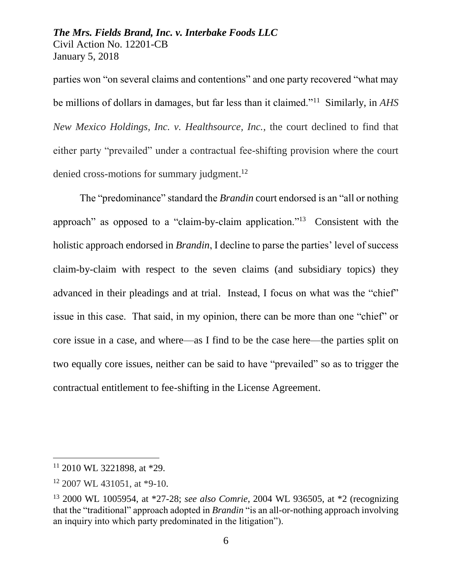parties won "on several claims and contentions" and one party recovered "what may be millions of dollars in damages, but far less than it claimed."<sup>11</sup> Similarly, in *AHS New Mexico Holdings, Inc. v. Healthsource, Inc.*, the court declined to find that either party "prevailed" under a contractual fee-shifting provision where the court denied cross-motions for summary judgment.<sup>12</sup>

The "predominance" standard the *Brandin* court endorsed is an "all or nothing approach" as opposed to a "claim-by-claim application."<sup>13</sup> Consistent with the holistic approach endorsed in *Brandin*, I decline to parse the parties' level of success claim-by-claim with respect to the seven claims (and subsidiary topics) they advanced in their pleadings and at trial. Instead, I focus on what was the "chief" issue in this case. That said, in my opinion, there can be more than one "chief" or core issue in a case, and where—as I find to be the case here—the parties split on two equally core issues, neither can be said to have "prevailed" so as to trigger the contractual entitlement to fee-shifting in the License Agreement.

<sup>11</sup> 2010 WL 3221898, at \*29.

<sup>12</sup> 2007 WL 431051, at \*9-10.

<sup>13</sup> 2000 WL 1005954, at \*27-28; *see also Comrie*, 2004 WL 936505, at \*2 (recognizing that the "traditional" approach adopted in *Brandin* "is an all-or-nothing approach involving an inquiry into which party predominated in the litigation").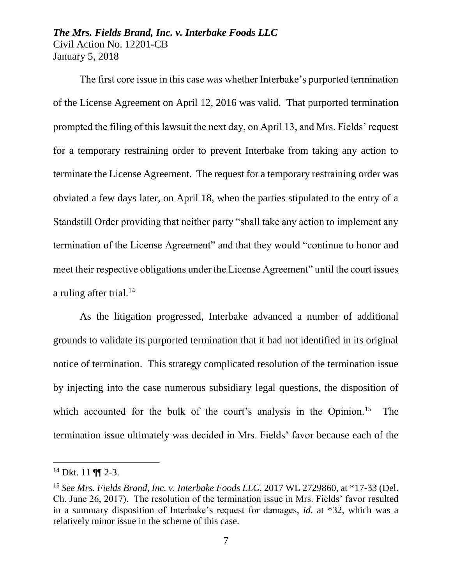The first core issue in this case was whether Interbake's purported termination of the License Agreement on April 12, 2016 was valid. That purported termination prompted the filing of this lawsuit the next day, on April 13, and Mrs. Fields' request for a temporary restraining order to prevent Interbake from taking any action to terminate the License Agreement. The request for a temporary restraining order was obviated a few days later, on April 18, when the parties stipulated to the entry of a Standstill Order providing that neither party "shall take any action to implement any termination of the License Agreement" and that they would "continue to honor and meet their respective obligations under the License Agreement" until the court issues a ruling after trial.<sup>14</sup>

As the litigation progressed, Interbake advanced a number of additional grounds to validate its purported termination that it had not identified in its original notice of termination. This strategy complicated resolution of the termination issue by injecting into the case numerous subsidiary legal questions, the disposition of which accounted for the bulk of the court's analysis in the Opinion.<sup>15</sup> The termination issue ultimately was decided in Mrs. Fields' favor because each of the

<sup>&</sup>lt;sup>14</sup> Dkt. 11 ¶¶ 2-3.

<sup>15</sup> *See Mrs. Fields Brand, Inc. v. Interbake Foods LLC*, 2017 WL 2729860, at \*17-33 (Del. Ch. June 26, 2017). The resolution of the termination issue in Mrs. Fields' favor resulted in a summary disposition of Interbake's request for damages, *id*. at \*32, which was a relatively minor issue in the scheme of this case.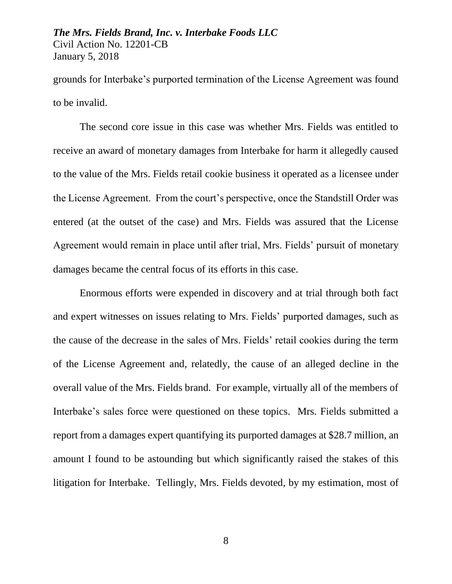grounds for Interbake's purported termination of the License Agreement was found to be invalid.

The second core issue in this case was whether Mrs. Fields was entitled to receive an award of monetary damages from Interbake for harm it allegedly caused to the value of the Mrs. Fields retail cookie business it operated as a licensee under the License Agreement. From the court's perspective, once the Standstill Order was entered (at the outset of the case) and Mrs. Fields was assured that the License Agreement would remain in place until after trial, Mrs. Fields' pursuit of monetary damages became the central focus of its efforts in this case.

Enormous efforts were expended in discovery and at trial through both fact and expert witnesses on issues relating to Mrs. Fields' purported damages, such as the cause of the decrease in the sales of Mrs. Fields' retail cookies during the term of the License Agreement and, relatedly, the cause of an alleged decline in the overall value of the Mrs. Fields brand. For example, virtually all of the members of Interbake's sales force were questioned on these topics. Mrs. Fields submitted a report from a damages expert quantifying its purported damages at \$28.7 million, an amount I found to be astounding but which significantly raised the stakes of this litigation for Interbake. Tellingly, Mrs. Fields devoted, by my estimation, most of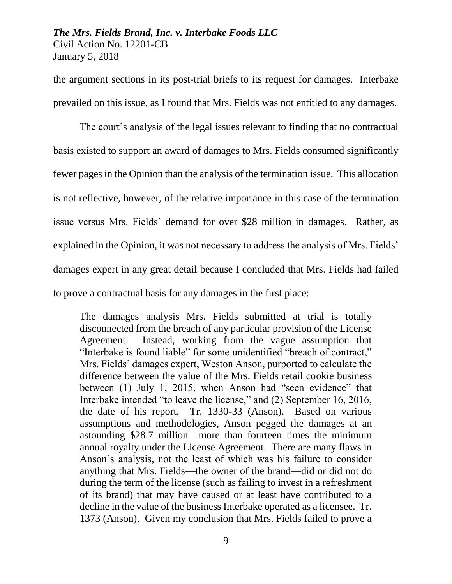the argument sections in its post-trial briefs to its request for damages. Interbake prevailed on this issue, as I found that Mrs. Fields was not entitled to any damages.

The court's analysis of the legal issues relevant to finding that no contractual basis existed to support an award of damages to Mrs. Fields consumed significantly fewer pages in the Opinion than the analysis of the termination issue. This allocation is not reflective, however, of the relative importance in this case of the termination issue versus Mrs. Fields' demand for over \$28 million in damages. Rather, as explained in the Opinion, it was not necessary to address the analysis of Mrs. Fields' damages expert in any great detail because I concluded that Mrs. Fields had failed to prove a contractual basis for any damages in the first place:

The damages analysis Mrs. Fields submitted at trial is totally disconnected from the breach of any particular provision of the License Agreement. Instead, working from the vague assumption that "Interbake is found liable" for some unidentified "breach of contract," Mrs. Fields' damages expert, Weston Anson, purported to calculate the difference between the value of the Mrs. Fields retail cookie business between (1) July 1, 2015, when Anson had "seen evidence" that Interbake intended "to leave the license," and (2) September 16, 2016, the date of his report. Tr. 1330-33 (Anson). Based on various assumptions and methodologies, Anson pegged the damages at an astounding \$28.7 million—more than fourteen times the minimum annual royalty under the License Agreement. There are many flaws in Anson's analysis, not the least of which was his failure to consider anything that Mrs. Fields—the owner of the brand—did or did not do during the term of the license (such as failing to invest in a refreshment of its brand) that may have caused or at least have contributed to a decline in the value of the business Interbake operated as a licensee. Tr. 1373 (Anson). Given my conclusion that Mrs. Fields failed to prove a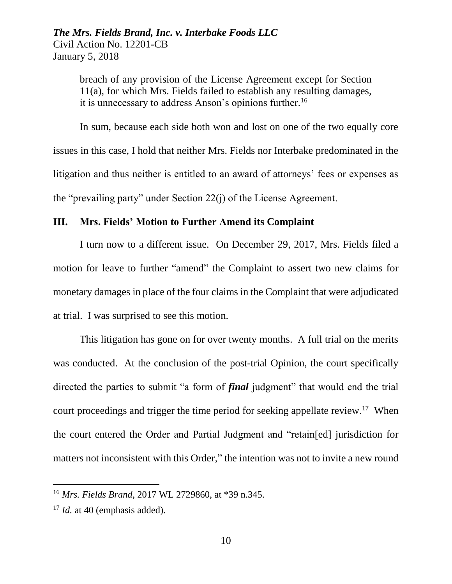breach of any provision of the License Agreement except for Section 11(a), for which Mrs. Fields failed to establish any resulting damages, it is unnecessary to address Anson's opinions further.<sup>16</sup>

In sum, because each side both won and lost on one of the two equally core issues in this case, I hold that neither Mrs. Fields nor Interbake predominated in the litigation and thus neither is entitled to an award of attorneys' fees or expenses as the "prevailing party" under Section 22(j) of the License Agreement.

#### **III. Mrs. Fields' Motion to Further Amend its Complaint**

I turn now to a different issue. On December 29, 2017, Mrs. Fields filed a motion for leave to further "amend" the Complaint to assert two new claims for monetary damages in place of the four claims in the Complaint that were adjudicated at trial. I was surprised to see this motion.

This litigation has gone on for over twenty months. A full trial on the merits was conducted. At the conclusion of the post-trial Opinion, the court specifically directed the parties to submit "a form of *final* judgment" that would end the trial court proceedings and trigger the time period for seeking appellate review.<sup>17</sup> When the court entered the Order and Partial Judgment and "retain[ed] jurisdiction for matters not inconsistent with this Order," the intention was not to invite a new round

<sup>16</sup> *Mrs. Fields Brand*, 2017 WL 2729860, at \*39 n.345.

<sup>&</sup>lt;sup>17</sup> *Id.* at 40 (emphasis added).